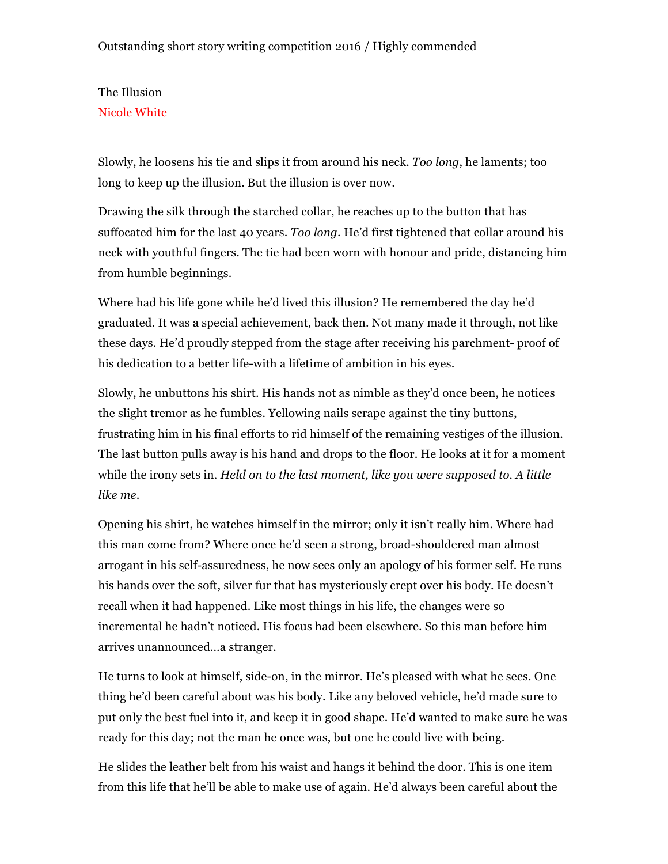## The Illusion Nicole White

Slowly, he loosens his tie and slips it from around his neck. *Too long*, he laments; too long to keep up the illusion. But the illusion is over now.

Drawing the silk through the starched collar, he reaches up to the button that has suffocated him for the last 40 years. *Too long*. He'd first tightened that collar around his neck with youthful fingers. The tie had been worn with honour and pride, distancing him from humble beginnings.

Where had his life gone while he'd lived this illusion? He remembered the day he'd graduated. It was a special achievement, back then. Not many made it through, not like these days. He'd proudly stepped from the stage after receiving his parchment- proof of his dedication to a better life-with a lifetime of ambition in his eyes.

Slowly, he unbuttons his shirt. His hands not as nimble as they'd once been, he notices the slight tremor as he fumbles. Yellowing nails scrape against the tiny buttons, frustrating him in his final efforts to rid himself of the remaining vestiges of the illusion. The last button pulls away is his hand and drops to the floor. He looks at it for a moment while the irony sets in. *Held on to the last moment, like you were supposed to. A little like me*.

Opening his shirt, he watches himself in the mirror; only it isn't really him. Where had this man come from? Where once he'd seen a strong, broad-shouldered man almost arrogant in his self-assuredness, he now sees only an apology of his former self. He runs his hands over the soft, silver fur that has mysteriously crept over his body. He doesn't recall when it had happened. Like most things in his life, the changes were so incremental he hadn't noticed. His focus had been elsewhere. So this man before him arrives unannounced…a stranger.

He turns to look at himself, side-on, in the mirror. He's pleased with what he sees. One thing he'd been careful about was his body. Like any beloved vehicle, he'd made sure to put only the best fuel into it, and keep it in good shape. He'd wanted to make sure he was ready for this day; not the man he once was, but one he could live with being.

He slides the leather belt from his waist and hangs it behind the door. This is one item from this life that he'll be able to make use of again. He'd always been careful about the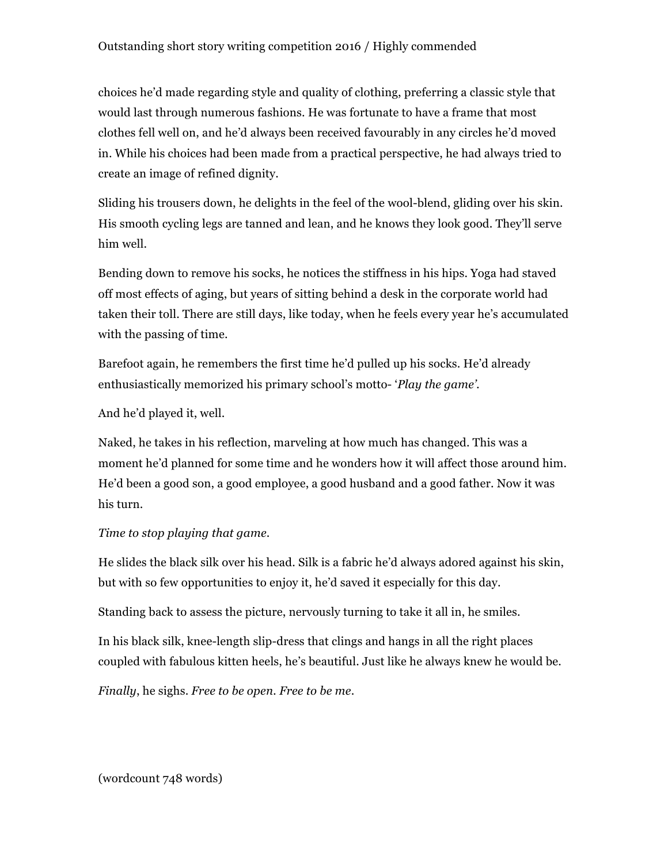## Outstanding short story writing competition 2016 / Highly commended

choices he'd made regarding style and quality of clothing, preferring a classic style that would last through numerous fashions. He was fortunate to have a frame that most clothes fell well on, and he'd always been received favourably in any circles he'd moved in. While his choices had been made from a practical perspective, he had always tried to create an image of refined dignity.

Sliding his trousers down, he delights in the feel of the wool-blend, gliding over his skin. His smooth cycling legs are tanned and lean, and he knows they look good. They'll serve him well.

Bending down to remove his socks, he notices the stiffness in his hips. Yoga had staved off most effects of aging, but years of sitting behind a desk in the corporate world had taken their toll. There are still days, like today, when he feels every year he's accumulated with the passing of time.

Barefoot again, he remembers the first time he'd pulled up his socks. He'd already enthusiastically memorized his primary school's motto- '*Play the game'.*

And he'd played it, well.

Naked, he takes in his reflection, marveling at how much has changed. This was a moment he'd planned for some time and he wonders how it will affect those around him. He'd been a good son, a good employee, a good husband and a good father. Now it was his turn.

## *Time to stop playing that game*.

He slides the black silk over his head. Silk is a fabric he'd always adored against his skin, but with so few opportunities to enjoy it, he'd saved it especially for this day.

Standing back to assess the picture, nervously turning to take it all in, he smiles.

In his black silk, knee-length slip-dress that clings and hangs in all the right places coupled with fabulous kitten heels, he's beautiful. Just like he always knew he would be.

*Finally*, he sighs. *Free to be open. Free to be me*.

(wordcount 748 words)